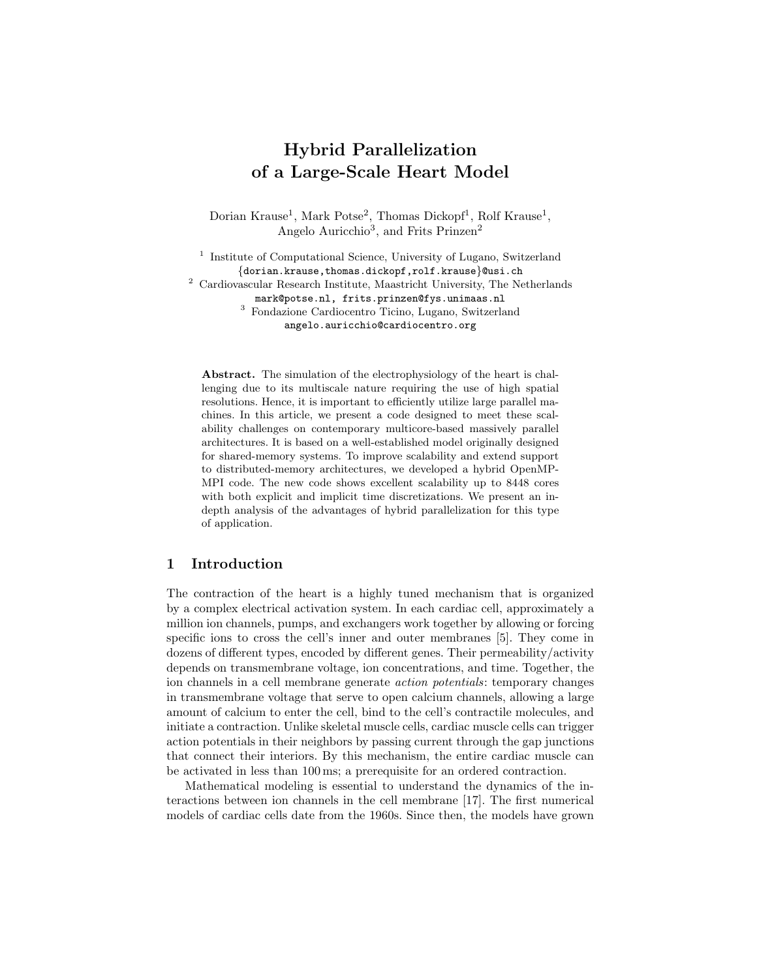# Hybrid Parallelization of a Large-Scale Heart Model

Dorian Krause<sup>1</sup>, Mark Potse<sup>2</sup>, Thomas Dickopf<sup>1</sup>, Rolf Krause<sup>1</sup>, Angelo Auricchio<sup>3</sup>, and Frits Prinzen<sup>2</sup>

<sup>1</sup> Institute of Computational Science, University of Lugano, Switzerland {dorian.krause,thomas.dickopf,rolf.krause}@usi.ch  $^{\rm 2}$  Cardiovascular Research Institute, Maastricht University, The Netherlands mark@potse.nl, frits.prinzen@fys.unimaas.nl <sup>3</sup> Fondazione Cardiocentro Ticino, Lugano, Switzerland angelo.auricchio@cardiocentro.org

Abstract. The simulation of the electrophysiology of the heart is challenging due to its multiscale nature requiring the use of high spatial resolutions. Hence, it is important to efficiently utilize large parallel machines. In this article, we present a code designed to meet these scalability challenges on contemporary multicore-based massively parallel architectures. It is based on a well-established model originally designed for shared-memory systems. To improve scalability and extend support to distributed-memory architectures, we developed a hybrid OpenMP-MPI code. The new code shows excellent scalability up to 8448 cores with both explicit and implicit time discretizations. We present an indepth analysis of the advantages of hybrid parallelization for this type of application.

# 1 Introduction

The contraction of the heart is a highly tuned mechanism that is organized by a complex electrical activation system. In each cardiac cell, approximately a million ion channels, pumps, and exchangers work together by allowing or forcing specific ions to cross the cell's inner and outer membranes [5]. They come in dozens of different types, encoded by different genes. Their permeability/activity depends on transmembrane voltage, ion concentrations, and time. Together, the ion channels in a cell membrane generate action potentials: temporary changes in transmembrane voltage that serve to open calcium channels, allowing a large amount of calcium to enter the cell, bind to the cell's contractile molecules, and initiate a contraction. Unlike skeletal muscle cells, cardiac muscle cells can trigger action potentials in their neighbors by passing current through the gap junctions that connect their interiors. By this mechanism, the entire cardiac muscle can be activated in less than 100 ms; a prerequisite for an ordered contraction.

Mathematical modeling is essential to understand the dynamics of the interactions between ion channels in the cell membrane [17]. The first numerical models of cardiac cells date from the 1960s. Since then, the models have grown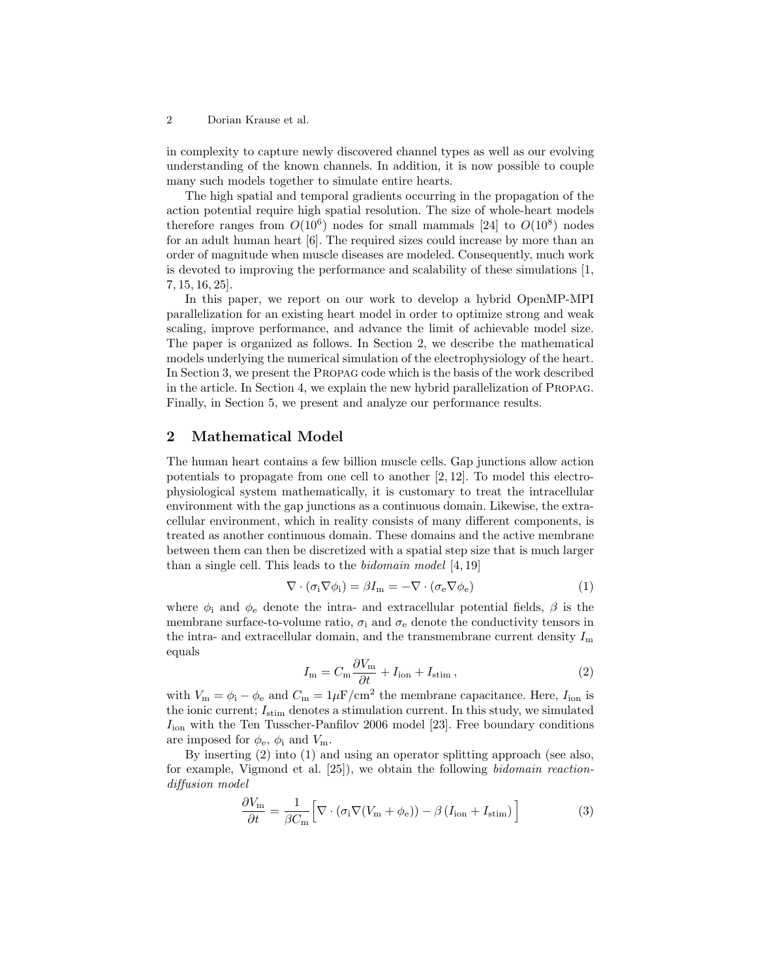2 Dorian Krause et al.

in complexity to capture newly discovered channel types as well as our evolving understanding of the known channels. In addition, it is now possible to couple many such models together to simulate entire hearts.

The high spatial and temporal gradients occurring in the propagation of the action potential require high spatial resolution. The size of whole-heart models therefore ranges from  $O(10^6)$  nodes for small mammals [24] to  $O(10^8)$  nodes for an adult human heart [6]. The required sizes could increase by more than an order of magnitude when muscle diseases are modeled. Consequently, much work is devoted to improving the performance and scalability of these simulations [1, 7, 15, 16, 25].

In this paper, we report on our work to develop a hybrid OpenMP-MPI parallelization for an existing heart model in order to optimize strong and weak scaling, improve performance, and advance the limit of achievable model size. The paper is organized as follows. In Section 2, we describe the mathematical models underlying the numerical simulation of the electrophysiology of the heart. In Section 3, we present the Propag code which is the basis of the work described in the article. In Section 4, we explain the new hybrid parallelization of Propag. Finally, in Section 5, we present and analyze our performance results.

# 2 Mathematical Model

The human heart contains a few billion muscle cells. Gap junctions allow action potentials to propagate from one cell to another [2, 12]. To model this electrophysiological system mathematically, it is customary to treat the intracellular environment with the gap junctions as a continuous domain. Likewise, the extracellular environment, which in reality consists of many different components, is treated as another continuous domain. These domains and the active membrane between them can then be discretized with a spatial step size that is much larger than a single cell. This leads to the bidomain model [4, 19]

$$
\nabla \cdot (\sigma_i \nabla \phi_i) = \beta I_m = -\nabla \cdot (\sigma_e \nabla \phi_e)
$$
 (1)

where  $\phi_i$  and  $\phi_e$  denote the intra- and extracellular potential fields,  $\beta$  is the membrane surface-to-volume ratio,  $\sigma_i$  and  $\sigma_e$  denote the conductivity tensors in the intra- and extracellular domain, and the transmembrane current density  $I_{\rm m}$ equals

$$
I_{\rm m} = C_{\rm m} \frac{\partial V_{\rm m}}{\partial t} + I_{\rm ion} + I_{\rm stim} , \qquad (2)
$$

with  $V_{\rm m} = \phi_{\rm i} - \phi_{\rm e}$  and  $C_{\rm m} = 1 \mu F / \text{cm}^2$  the membrane capacitance. Here,  $I_{\rm ion}$  is the ionic current;  $I_{\text{stim}}$  denotes a stimulation current. In this study, we simulated  $I_{\text{ion}}$  with the Ten Tusscher-Panfilov 2006 model [23]. Free boundary conditions are imposed for  $\phi_e$ ,  $\phi_i$  and  $V_m$ .

By inserting (2) into (1) and using an operator splitting approach (see also, for example, Vigmond et al. [25]), we obtain the following bidomain reactiondiffusion model

$$
\frac{\partial V_{\rm m}}{\partial t} = \frac{1}{\beta C_{\rm m}} \Big[ \nabla \cdot (\sigma_{\rm i} \nabla (V_{\rm m} + \phi_{\rm e})) - \beta \left( I_{\rm ion} + I_{\rm stim} \right) \Big] \tag{3}
$$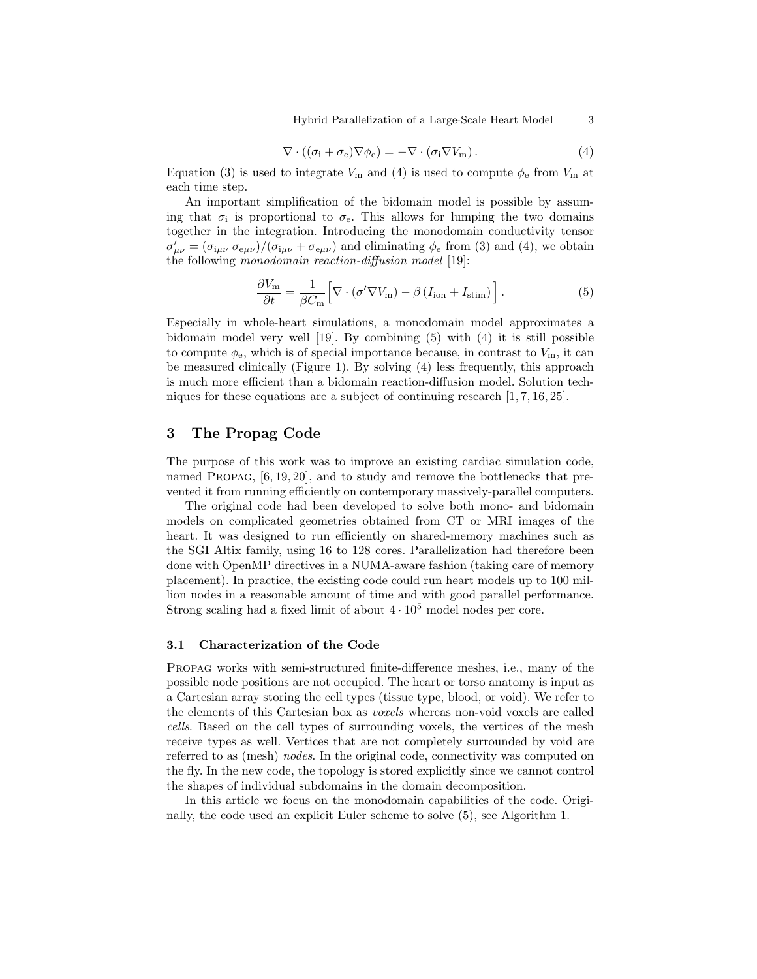Hybrid Parallelization of a Large-Scale Heart Model 3

$$
\nabla \cdot ((\sigma_i + \sigma_e) \nabla \phi_e) = -\nabla \cdot (\sigma_i \nabla V_m). \tag{4}
$$

Equation (3) is used to integrate  $V_m$  and (4) is used to compute  $\phi_e$  from  $V_m$  at each time step.

An important simplification of the bidomain model is possible by assuming that  $\sigma_i$  is proportional to  $\sigma_e$ . This allows for lumping the two domains together in the integration. Introducing the monodomain conductivity tensor  $\sigma'_{\mu\nu} = (\sigma_{i\mu\nu} \sigma_{e\mu\nu})/(\sigma_{i\mu\nu} + \sigma_{e\mu\nu})$  and eliminating  $\phi_e$  from (3) and (4), we obtain the following monodomain reaction-diffusion model [19]:

$$
\frac{\partial V_{\rm m}}{\partial t} = \frac{1}{\beta C_{\rm m}} \Big[ \nabla \cdot (\sigma' \nabla V_{\rm m}) - \beta \left( I_{\rm ion} + I_{\rm stim} \right) \Big]. \tag{5}
$$

Especially in whole-heart simulations, a monodomain model approximates a bidomain model very well [19]. By combining (5) with (4) it is still possible to compute  $\phi_e$ , which is of special importance because, in contrast to  $V_m$ , it can be measured clinically (Figure 1). By solving (4) less frequently, this approach is much more efficient than a bidomain reaction-diffusion model. Solution techniques for these equations are a subject of continuing research [1, 7, 16, 25].

# 3 The Propag Code

The purpose of this work was to improve an existing cardiac simulation code, named PROPAG, [6, 19, 20], and to study and remove the bottlenecks that prevented it from running efficiently on contemporary massively-parallel computers.

The original code had been developed to solve both mono- and bidomain models on complicated geometries obtained from CT or MRI images of the heart. It was designed to run efficiently on shared-memory machines such as the SGI Altix family, using 16 to 128 cores. Parallelization had therefore been done with OpenMP directives in a NUMA-aware fashion (taking care of memory placement). In practice, the existing code could run heart models up to 100 million nodes in a reasonable amount of time and with good parallel performance. Strong scaling had a fixed limit of about  $4 \cdot 10^5$  model nodes per core.

### 3.1 Characterization of the Code

Propag works with semi-structured finite-difference meshes, i.e., many of the possible node positions are not occupied. The heart or torso anatomy is input as a Cartesian array storing the cell types (tissue type, blood, or void). We refer to the elements of this Cartesian box as voxels whereas non-void voxels are called cells. Based on the cell types of surrounding voxels, the vertices of the mesh receive types as well. Vertices that are not completely surrounded by void are referred to as (mesh) nodes. In the original code, connectivity was computed on the fly. In the new code, the topology is stored explicitly since we cannot control the shapes of individual subdomains in the domain decomposition.

In this article we focus on the monodomain capabilities of the code. Originally, the code used an explicit Euler scheme to solve (5), see Algorithm 1.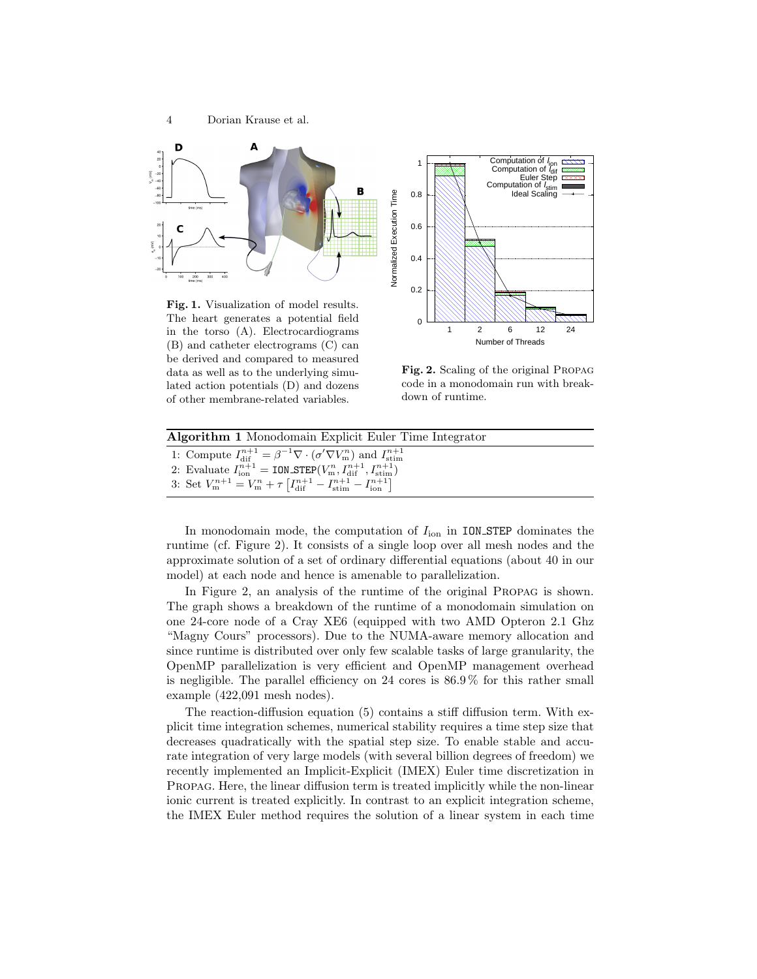

Fig. 1. Visualization of model results. The heart generates a potential field in the torso (A). Electrocardiograms (B) and catheter electrograms (C) can be derived and compared to measured data as well as to the underlying simulated action potentials (D) and dozens of other membrane-related variables.



Fig. 2. Scaling of the original Propag code in a monodomain run with breakdown of runtime.

| Algorithm 1 Monodomain Explicit Euler Time Integrator                                                                                  |
|----------------------------------------------------------------------------------------------------------------------------------------|
| 1: Compute $I_{\text{dif}}^{n+1} = \beta^{-1} \nabla \cdot (\sigma' \nabla V_{\text{m}}^n)$ and $I_{\text{stim}}^{n+1}$                |
| 2: Evaluate $I_{\text{ion}}^{n+1} = \text{ION\_STEP}(V_{\text{m}}^n, I_{\text{dif}}^{n+1}, I_{\text{stim}}^{n+1})$                     |
| 3: Set $V_{\text{m}}^{n+1} = V_{\text{m}}^n + \tau \left[ I_{\text{dif}}^{n+1} - I_{\text{stim}}^{n+1} - I_{\text{ion}}^{n+1} \right]$ |

In monodomain mode, the computation of  $I_{\text{ion}}$  in ION\_STEP dominates the runtime (cf. Figure 2). It consists of a single loop over all mesh nodes and the approximate solution of a set of ordinary differential equations (about 40 in our model) at each node and hence is amenable to parallelization.

In Figure 2, an analysis of the runtime of the original Propag is shown. The graph shows a breakdown of the runtime of a monodomain simulation on one 24-core node of a Cray XE6 (equipped with two AMD Opteron 2.1 Ghz "Magny Cours" processors). Due to the NUMA-aware memory allocation and since runtime is distributed over only few scalable tasks of large granularity, the OpenMP parallelization is very efficient and OpenMP management overhead is negligible. The parallel efficiency on 24 cores is 86.9 % for this rather small example (422,091 mesh nodes).

The reaction-diffusion equation (5) contains a stiff diffusion term. With explicit time integration schemes, numerical stability requires a time step size that decreases quadratically with the spatial step size. To enable stable and accurate integration of very large models (with several billion degrees of freedom) we recently implemented an Implicit-Explicit (IMEX) Euler time discretization in Propag. Here, the linear diffusion term is treated implicitly while the non-linear ionic current is treated explicitly. In contrast to an explicit integration scheme, the IMEX Euler method requires the solution of a linear system in each time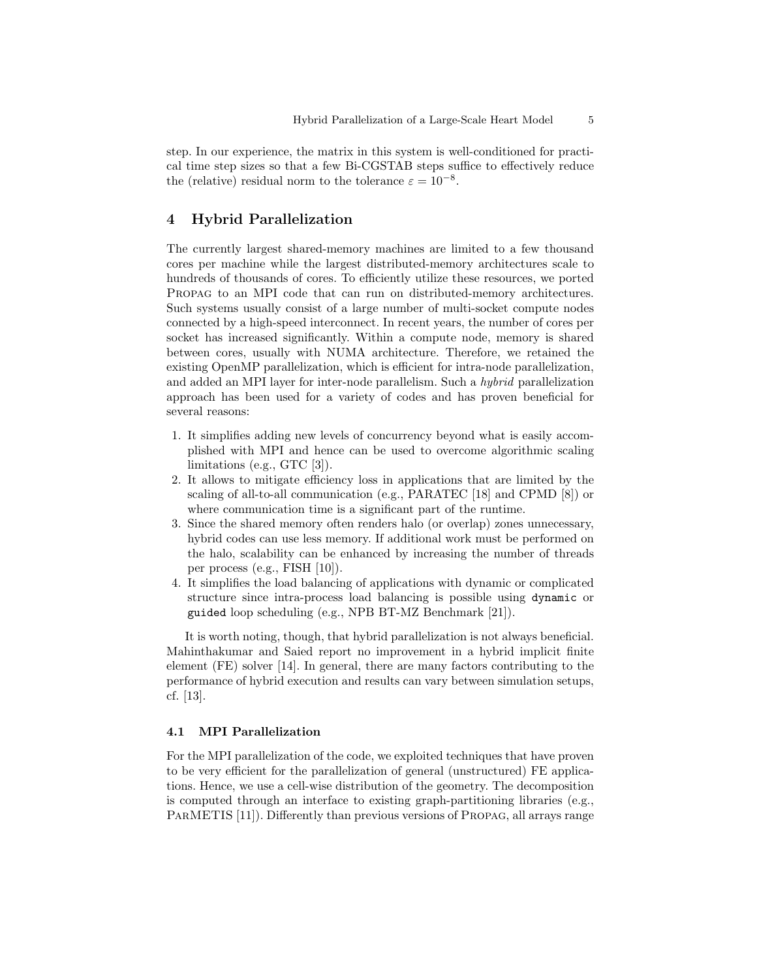step. In our experience, the matrix in this system is well-conditioned for practical time step sizes so that a few Bi-CGSTAB steps suffice to effectively reduce the (relative) residual norm to the tolerance  $\varepsilon = 10^{-8}$ .

# 4 Hybrid Parallelization

The currently largest shared-memory machines are limited to a few thousand cores per machine while the largest distributed-memory architectures scale to hundreds of thousands of cores. To efficiently utilize these resources, we ported Propag to an MPI code that can run on distributed-memory architectures. Such systems usually consist of a large number of multi-socket compute nodes connected by a high-speed interconnect. In recent years, the number of cores per socket has increased significantly. Within a compute node, memory is shared between cores, usually with NUMA architecture. Therefore, we retained the existing OpenMP parallelization, which is efficient for intra-node parallelization, and added an MPI layer for inter-node parallelism. Such a hybrid parallelization approach has been used for a variety of codes and has proven beneficial for several reasons:

- 1. It simplifies adding new levels of concurrency beyond what is easily accomplished with MPI and hence can be used to overcome algorithmic scaling limitations (e.g., GTC [3]).
- 2. It allows to mitigate efficiency loss in applications that are limited by the scaling of all-to-all communication (e.g., PARATEC [18] and CPMD [8]) or where communication time is a significant part of the runtime.
- 3. Since the shared memory often renders halo (or overlap) zones unnecessary, hybrid codes can use less memory. If additional work must be performed on the halo, scalability can be enhanced by increasing the number of threads per process (e.g., FISH [10]).
- 4. It simplifies the load balancing of applications with dynamic or complicated structure since intra-process load balancing is possible using dynamic or guided loop scheduling (e.g., NPB BT-MZ Benchmark [21]).

It is worth noting, though, that hybrid parallelization is not always beneficial. Mahinthakumar and Saied report no improvement in a hybrid implicit finite element (FE) solver [14]. In general, there are many factors contributing to the performance of hybrid execution and results can vary between simulation setups, cf. [13].

#### 4.1 MPI Parallelization

For the MPI parallelization of the code, we exploited techniques that have proven to be very efficient for the parallelization of general (unstructured) FE applications. Hence, we use a cell-wise distribution of the geometry. The decomposition is computed through an interface to existing graph-partitioning libraries (e.g., PARMETIS [11]). Differently than previous versions of PROPAG, all arrays range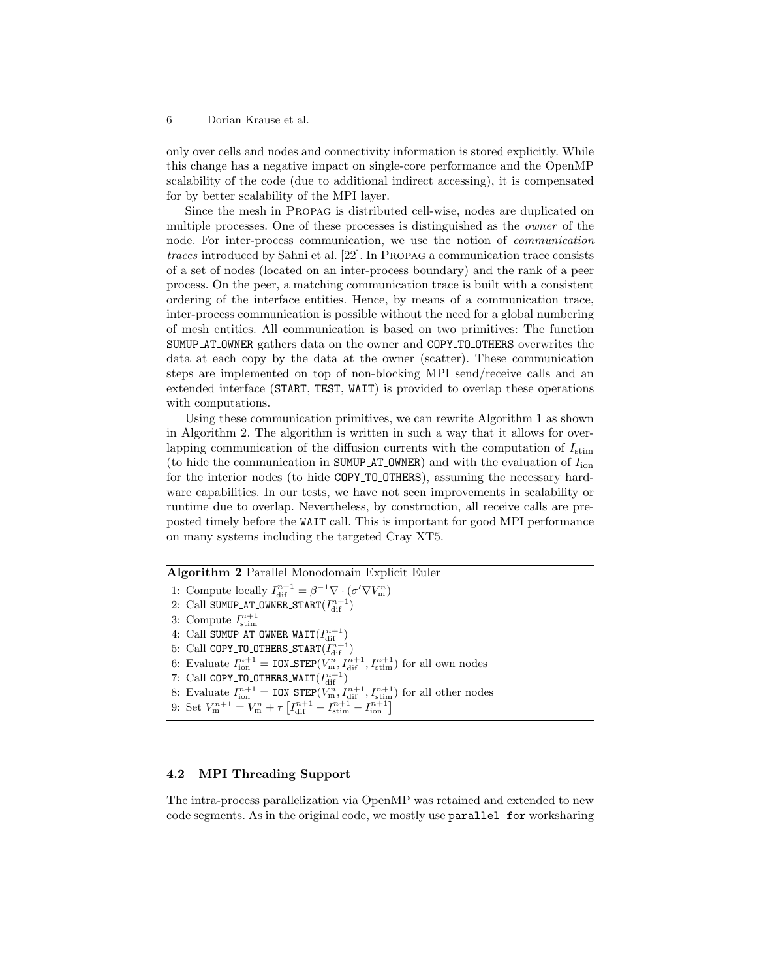#### 6 Dorian Krause et al.

only over cells and nodes and connectivity information is stored explicitly. While this change has a negative impact on single-core performance and the OpenMP scalability of the code (due to additional indirect accessing), it is compensated for by better scalability of the MPI layer.

Since the mesh in Propag is distributed cell-wise, nodes are duplicated on multiple processes. One of these processes is distinguished as the owner of the node. For inter-process communication, we use the notion of communication traces introduced by Sahni et al. [22]. In Propag a communication trace consists of a set of nodes (located on an inter-process boundary) and the rank of a peer process. On the peer, a matching communication trace is built with a consistent ordering of the interface entities. Hence, by means of a communication trace, inter-process communication is possible without the need for a global numbering of mesh entities. All communication is based on two primitives: The function SUMUP AT OWNER gathers data on the owner and COPY TO OTHERS overwrites the data at each copy by the data at the owner (scatter). These communication steps are implemented on top of non-blocking MPI send/receive calls and an extended interface (START, TEST, WAIT) is provided to overlap these operations with computations.

Using these communication primitives, we can rewrite Algorithm 1 as shown in Algorithm 2. The algorithm is written in such a way that it allows for overlapping communication of the diffusion currents with the computation of  $I_{\text{stim}}$ (to hide the communication in SUMUP AT OWNER) and with the evaluation of  $I_{\text{ion}}$ for the interior nodes (to hide COPY TO OTHERS), assuming the necessary hardware capabilities. In our tests, we have not seen improvements in scalability or runtime due to overlap. Nevertheless, by construction, all receive calls are preposted timely before the WAIT call. This is important for good MPI performance on many systems including the targeted Cray XT5.

Algorithm 2 Parallel Monodomain Explicit Euler

- 1: Compute locally  $I_{\text{dif}}^{n+1} = \beta^{-1} \nabla \cdot (\sigma' \nabla V_{\text{m}}^n)$
- 2: Call SUMUP\_AT\_OWNER\_START $(I_{\rm dif}^{n+1})$
- 3: Compute  $I_{\text{stim}}^{n+1}$
- 4: Call SUMUP\_AT\_OWNER\_WAIT $(I^{n+1}_{{\rm dif}})$
- 5: Call COPY\_TO\_OTHERS\_START $(I_{\rm dif}^{n+1})$

6: Evaluate  $I_{\text{ion}}^{n+1} = \text{ION\_STEP}(V_{\text{m}}^n, I_{\text{diff}}^{n+1}, I_{\text{stim}}^{n+1})$  for all own nodes

- 7: Call COPY\_TO\_OTHERS\_WAIT $(I^{n+1}_{{\rm dif}})$
- 8: Evaluate  $I_{\text{ion}}^{n+1} = \text{ION\_STEP}(V_{\text{m}}^n, I_{\text{diff}}^{n+1}, I_{\text{stim}}^{n+1})$  for all other nodes
- 9: Set  $V_{\text{m}}^{n+1} = V_{\text{m}}^{n} + \tau \left[ I_{\text{dif}}^{n+1} I_{\text{stim}}^{n+1} I_{\text{ion}}^{n+1} \right]$

## 4.2 MPI Threading Support

The intra-process parallelization via OpenMP was retained and extended to new code segments. As in the original code, we mostly use parallel for worksharing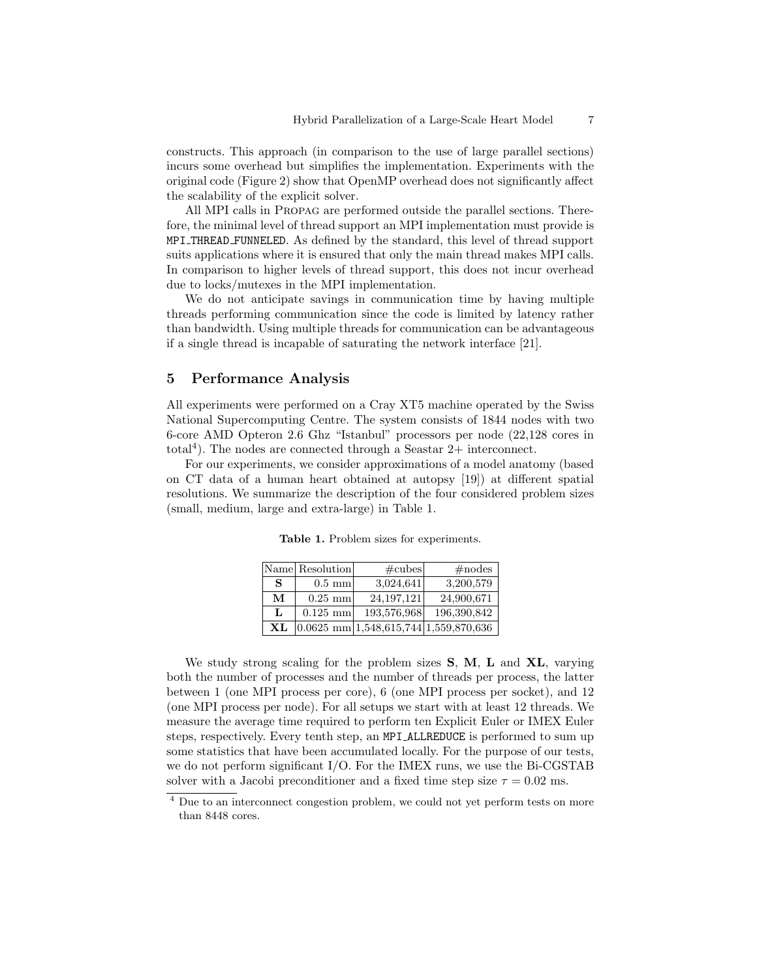constructs. This approach (in comparison to the use of large parallel sections) incurs some overhead but simplifies the implementation. Experiments with the original code (Figure 2) show that OpenMP overhead does not significantly affect the scalability of the explicit solver.

All MPI calls in Propag are performed outside the parallel sections. Therefore, the minimal level of thread support an MPI implementation must provide is MPI THREAD FUNNELED. As defined by the standard, this level of thread support suits applications where it is ensured that only the main thread makes MPI calls. In comparison to higher levels of thread support, this does not incur overhead due to locks/mutexes in the MPI implementation.

We do not anticipate savings in communication time by having multiple threads performing communication since the code is limited by latency rather than bandwidth. Using multiple threads for communication can be advantageous if a single thread is incapable of saturating the network interface [21].

### 5 Performance Analysis

All experiments were performed on a Cray XT5 machine operated by the Swiss National Supercomputing Centre. The system consists of 1844 nodes with two 6-core AMD Opteron 2.6 Ghz "Istanbul" processors per node (22,128 cores in total<sup>4</sup> ). The nodes are connected through a Seastar 2+ interconnect.

For our experiments, we consider approximations of a model anatomy (based on CT data of a human heart obtained at autopsy [19]) at different spatial resolutions. We summarize the description of the four considered problem sizes (small, medium, large and extra-large) in Table 1.

|    | Name Resolution  | $\#\text{cubes}$                                 | $\#nodes$   |
|----|------------------|--------------------------------------------------|-------------|
| S  | $0.5 \text{ mm}$ | 3,024,641                                        | 3,200,579   |
| М  | $0.25$ mm        | 24, 197, 121                                     | 24,900,671  |
| L  | $0.125$ mm       | 193,576,968                                      | 196,390,842 |
| ХL |                  | $ 0.0625 \text{ mm} 1,548,615,744 1,559,870,636$ |             |

Table 1. Problem sizes for experiments.

We study strong scaling for the problem sizes **S**, **M**, **L** and **XL**, varying both the number of processes and the number of threads per process, the latter between 1 (one MPI process per core), 6 (one MPI process per socket), and 12 (one MPI process per node). For all setups we start with at least 12 threads. We measure the average time required to perform ten Explicit Euler or IMEX Euler steps, respectively. Every tenth step, an MPI ALLREDUCE is performed to sum up some statistics that have been accumulated locally. For the purpose of our tests, we do not perform significant I/O. For the IMEX runs, we use the Bi-CGSTAB solver with a Jacobi preconditioner and a fixed time step size  $\tau = 0.02$  ms.

<sup>&</sup>lt;sup>4</sup> Due to an interconnect congestion problem, we could not yet perform tests on more than 8448 cores.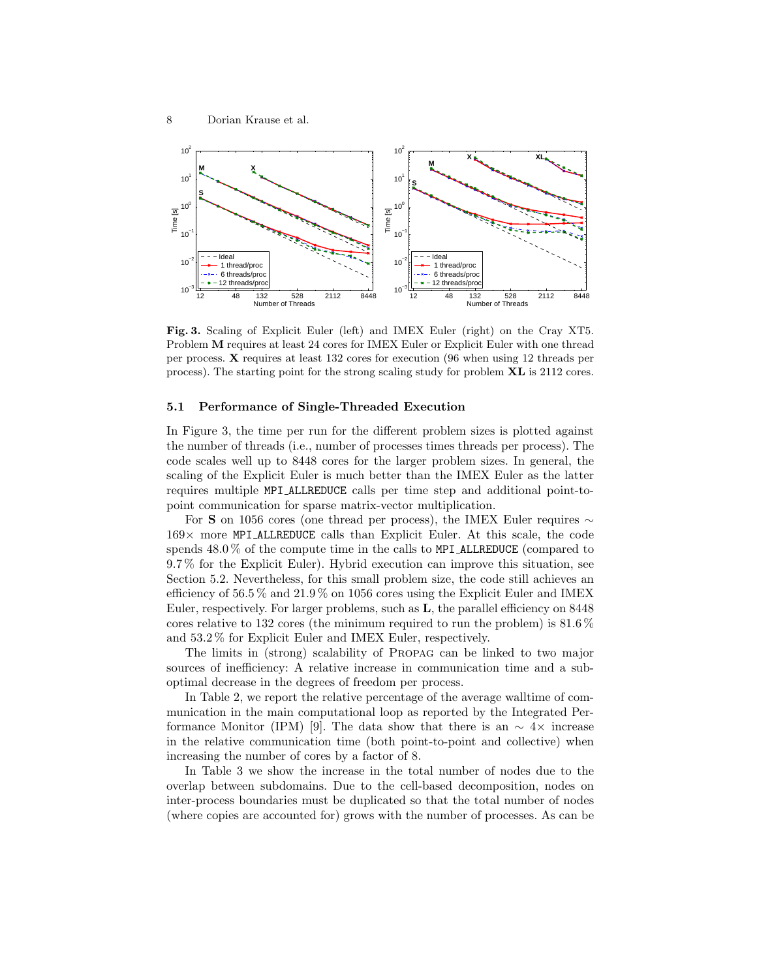

Fig. 3. Scaling of Explicit Euler (left) and IMEX Euler (right) on the Cray XT5. Problem M requires at least 24 cores for IMEX Euler or Explicit Euler with one thread per process. X requires at least 132 cores for execution (96 when using 12 threads per process). The starting point for the strong scaling study for problem XL is 2112 cores.

#### 5.1 Performance of Single-Threaded Execution

In Figure 3, the time per run for the different problem sizes is plotted against the number of threads (i.e., number of processes times threads per process). The code scales well up to 8448 cores for the larger problem sizes. In general, the scaling of the Explicit Euler is much better than the IMEX Euler as the latter requires multiple MPI ALLREDUCE calls per time step and additional point-topoint communication for sparse matrix-vector multiplication.

For S on 1056 cores (one thread per process), the IMEX Euler requires  $\sim$  $169\times$  more MPI ALLREDUCE calls than Explicit Euler. At this scale, the code spends 48.0 % of the compute time in the calls to MPI ALLREDUCE (compared to 9.7 % for the Explicit Euler). Hybrid execution can improve this situation, see Section 5.2. Nevertheless, for this small problem size, the code still achieves an efficiency of 56.5 % and 21.9 % on 1056 cores using the Explicit Euler and IMEX Euler, respectively. For larger problems, such as L, the parallel efficiency on 8448 cores relative to 132 cores (the minimum required to run the problem) is  $81.6\%$ and 53.2 % for Explicit Euler and IMEX Euler, respectively.

The limits in (strong) scalability of Propag can be linked to two major sources of inefficiency: A relative increase in communication time and a suboptimal decrease in the degrees of freedom per process.

In Table 2, we report the relative percentage of the average walltime of communication in the main computational loop as reported by the Integrated Performance Monitor (IPM) [9]. The data show that there is an  $\sim 4 \times$  increase in the relative communication time (both point-to-point and collective) when increasing the number of cores by a factor of 8.

In Table 3 we show the increase in the total number of nodes due to the overlap between subdomains. Due to the cell-based decomposition, nodes on inter-process boundaries must be duplicated so that the total number of nodes (where copies are accounted for) grows with the number of processes. As can be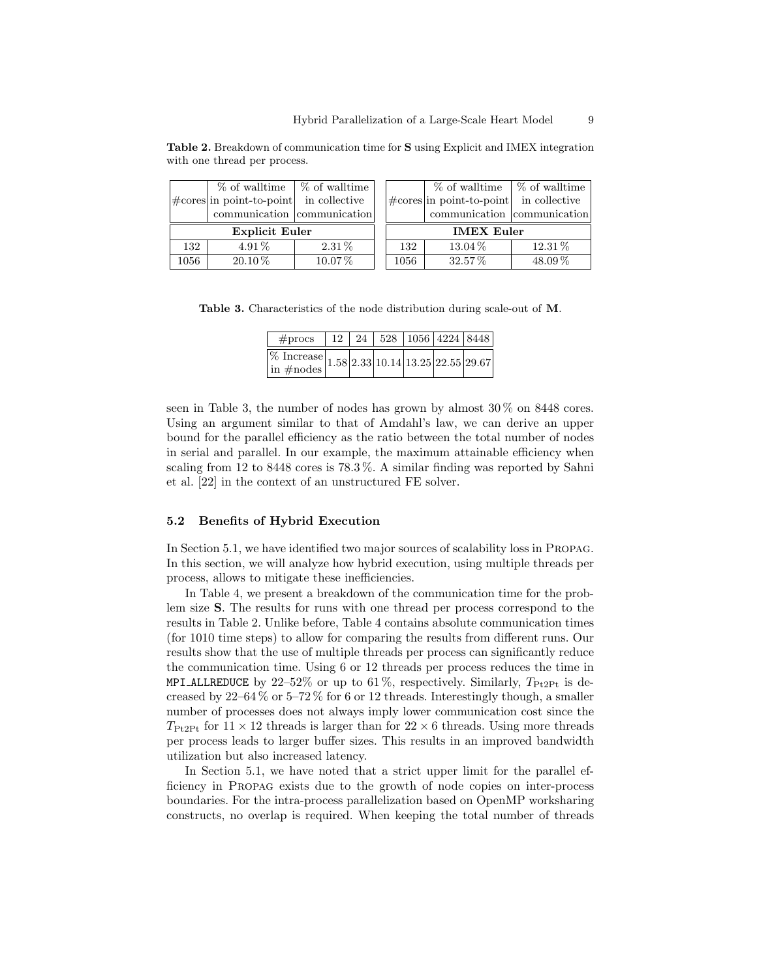|     | % of walltime<br>% of walltime                   |          |  |     | % of walltime                                      | $\frac{1}{6}$ of walltime |  |
|-----|--------------------------------------------------|----------|--|-----|----------------------------------------------------|---------------------------|--|
|     | $\#\text{cores}$ in point-to-point in collective |          |  |     | $ \text{\#cores} $ in point-to-point in collective |                           |  |
|     | communication communication                      |          |  |     | communication communication                        |                           |  |
|     |                                                  |          |  |     |                                                    |                           |  |
|     | <b>Explicit Euler</b>                            |          |  |     | <b>IMEX Euler</b>                                  |                           |  |
| 132 | $4.91\%$                                         | $2.31\%$ |  | 132 | $13.04\%$                                          | $12.31\%$                 |  |

Table 2. Breakdown of communication time for S using Explicit and IMEX integration with one thread per process.

Table 3. Characteristics of the node distribution during scale-out of M.

| $\#\text{process}$                                                                         |  | $12 \mid 24 \mid 528 \mid 1056 \mid 4224 \mid 8448 \mid$ |  |  |
|--------------------------------------------------------------------------------------------|--|----------------------------------------------------------|--|--|
| $\frac{\% \text{ Increase}}{\text{in } \# \text{nodes}}$ 1.58 2.33 10.14 13.25 22.55 29.67 |  |                                                          |  |  |

seen in Table 3, the number of nodes has grown by almost 30 % on 8448 cores. Using an argument similar to that of Amdahl's law, we can derive an upper bound for the parallel efficiency as the ratio between the total number of nodes in serial and parallel. In our example, the maximum attainable efficiency when scaling from 12 to 8448 cores is 78.3 %. A similar finding was reported by Sahni et al. [22] in the context of an unstructured FE solver.

#### 5.2 Benefits of Hybrid Execution

In Section 5.1, we have identified two major sources of scalability loss in Propag. In this section, we will analyze how hybrid execution, using multiple threads per process, allows to mitigate these inefficiencies.

In Table 4, we present a breakdown of the communication time for the problem size S. The results for runs with one thread per process correspond to the results in Table 2. Unlike before, Table 4 contains absolute communication times (for 1010 time steps) to allow for comparing the results from different runs. Our results show that the use of multiple threads per process can significantly reduce the communication time. Using 6 or 12 threads per process reduces the time in MPI ALLREDUCE by 22-52% or up to 61%, respectively. Similarly,  $T_{\text{Pt2Pt}}$  is decreased by  $22-64\%$  or  $5-72\%$  for 6 or 12 threads. Interestingly though, a smaller number of processes does not always imply lower communication cost since the  $T_{\text{Pt2Pt}}$  for  $11 \times 12$  threads is larger than for  $22 \times 6$  threads. Using more threads per process leads to larger buffer sizes. This results in an improved bandwidth utilization but also increased latency.

In Section 5.1, we have noted that a strict upper limit for the parallel efficiency in Propag exists due to the growth of node copies on inter-process boundaries. For the intra-process parallelization based on OpenMP worksharing constructs, no overlap is required. When keeping the total number of threads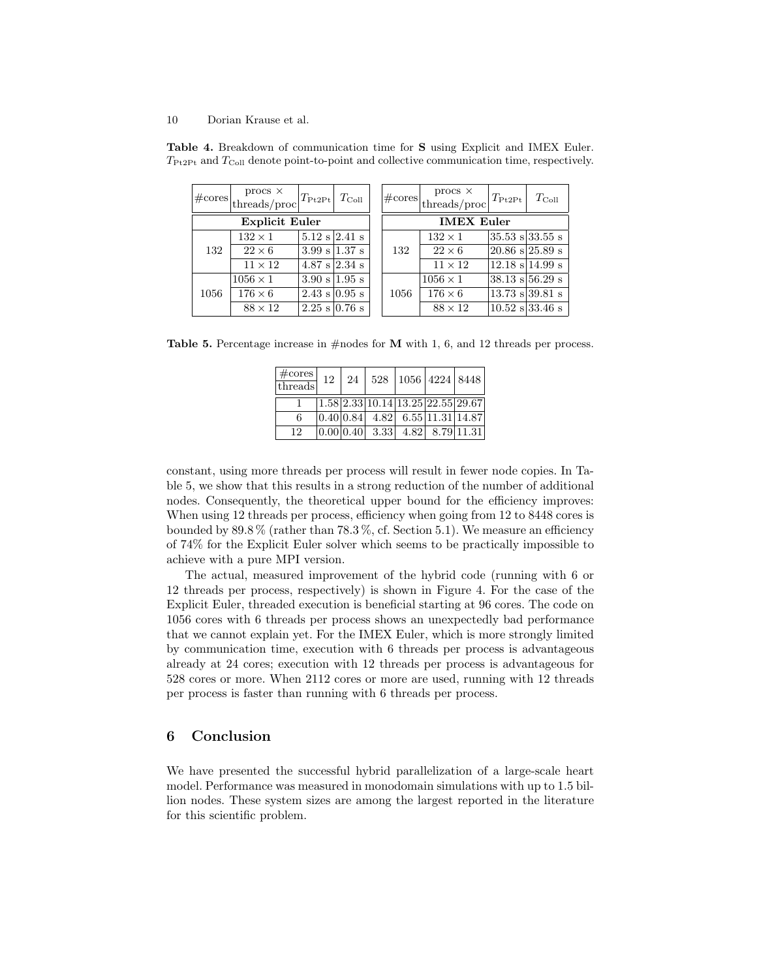#### 10 Dorian Krause et al.

| $\#\text{cores}$      | $\begin{array}{c} \text{prox} \times \\ \text{threads/proc} \end{array}$ | $T_{\text{Pt2Pt}}$ $T_{\text{Coll}}$ |  |     | $\#\text{cores}$  | $\begin{array}{c} \text{prox} \times \\ \text{threads/proc} \end{array}$ | $T_{\mathrm{Pt2Pt}}$                | $T_{\rm Coll}$ |  |
|-----------------------|--------------------------------------------------------------------------|--------------------------------------|--|-----|-------------------|--------------------------------------------------------------------------|-------------------------------------|----------------|--|
| <b>Explicit Euler</b> |                                                                          |                                      |  |     | <b>IMEX Euler</b> |                                                                          |                                     |                |  |
|                       | $132 \times 1$                                                           | $5.12$ s $2.41$ s                    |  |     |                   | $132 \times 1$                                                           | $ 35.53 \text{ s} 33.55 \text{ s} $ |                |  |
| 132                   | $22\times6$                                                              | $3.99 \text{ s}$ 1.37 s              |  | 132 | $22\times6$       | $ 20.86 \text{ s} 25.89 \text{ s} $                                      |                                     |                |  |
|                       | $11 \times 12$                                                           | $4.87 \text{ s}$ 2.34 s              |  |     | $11 \times 12$    | $ 12.18 \text{ s} 14.99 \text{ s}$                                       |                                     |                |  |
| 1056                  | $1056 \times 1$                                                          | $3.90 \text{ s}$ 1.95 s              |  |     | 1056              | $1056 \times 1$                                                          | $38.13$ s $56.29$ s                 |                |  |
|                       | $176\times 6$                                                            | $2.43 \text{ s} \mid 0.95 \text{ s}$ |  |     |                   | $176\times 6$                                                            | $13.73$ s 39.81 s                   |                |  |
|                       | $88 \times 12$                                                           | $2.25$ s 0.76 s                      |  |     |                   | $88 \times 12$                                                           | $10.52$ s 33.46 s                   |                |  |

Table 4. Breakdown of communication time for S using Explicit and IMEX Euler.  $T_{\text{Pt2Pt}}$  and  $T_{\text{Coll}}$  denote point-to-point and collective communication time, respectively.

**Table 5.** Percentage increase in  $\#$  nodes for **M** with 1, 6, and 12 threads per process.

| $\#cores$<br>threads |  |  | $12 \mid 24 \mid 528 \mid 1056 \mid 4224 \mid 8448$               |  |
|----------------------|--|--|-------------------------------------------------------------------|--|
|                      |  |  | $1.58$ $2.33$ $10.14$ $13.25$ $22.55$ $29.67$                     |  |
| 6                    |  |  | $\left  0.40 \right  0.84$ 4.82 6.55 11.31 14.87                  |  |
| 12                   |  |  | $\boxed{0.00 \mid 0.40 \mid 3.33 \mid 4.82 \mid 8.79 \mid 11.31}$ |  |

constant, using more threads per process will result in fewer node copies. In Table 5, we show that this results in a strong reduction of the number of additional nodes. Consequently, the theoretical upper bound for the efficiency improves: When using 12 threads per process, efficiency when going from 12 to 8448 cores is bounded by  $89.8\%$  (rather than  $78.3\%$ , cf. Section 5.1). We measure an efficiency of 74% for the Explicit Euler solver which seems to be practically impossible to achieve with a pure MPI version.

The actual, measured improvement of the hybrid code (running with 6 or 12 threads per process, respectively) is shown in Figure 4. For the case of the Explicit Euler, threaded execution is beneficial starting at 96 cores. The code on 1056 cores with 6 threads per process shows an unexpectedly bad performance that we cannot explain yet. For the IMEX Euler, which is more strongly limited by communication time, execution with 6 threads per process is advantageous already at 24 cores; execution with 12 threads per process is advantageous for 528 cores or more. When 2112 cores or more are used, running with 12 threads per process is faster than running with 6 threads per process.

## 6 Conclusion

We have presented the successful hybrid parallelization of a large-scale heart model. Performance was measured in monodomain simulations with up to 1.5 billion nodes. These system sizes are among the largest reported in the literature for this scientific problem.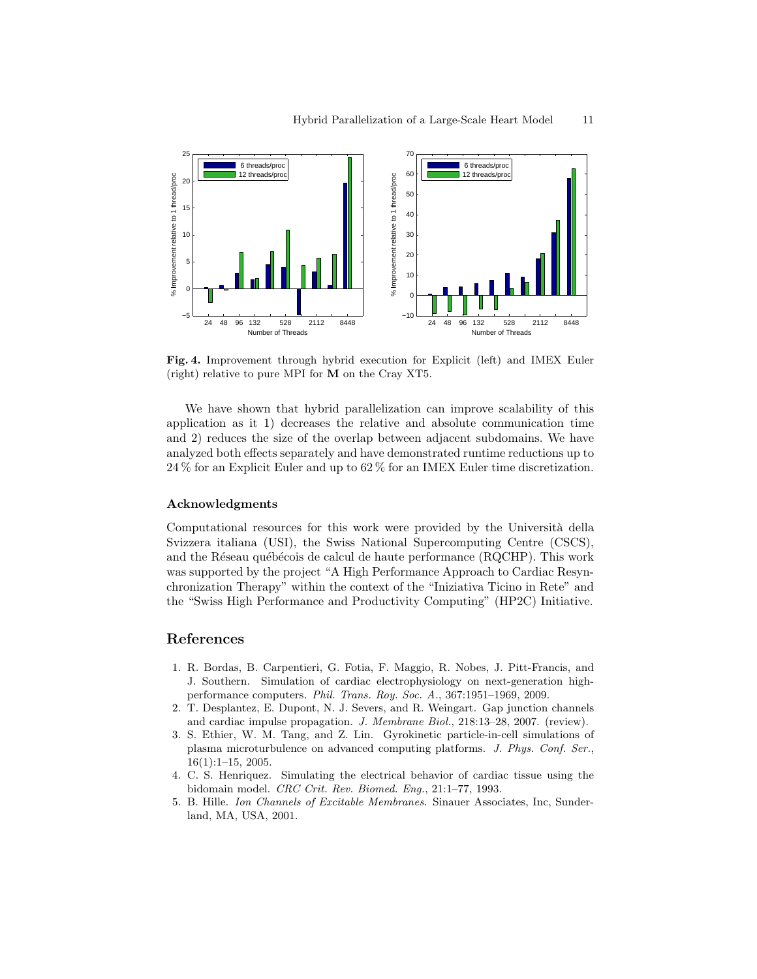

Fig. 4. Improvement through hybrid execution for Explicit (left) and IMEX Euler (right) relative to pure MPI for M on the Cray XT5.

We have shown that hybrid parallelization can improve scalability of this application as it 1) decreases the relative and absolute communication time and 2) reduces the size of the overlap between adjacent subdomains. We have analyzed both effects separately and have demonstrated runtime reductions up to 24 % for an Explicit Euler and up to 62 % for an IMEX Euler time discretization.

## Acknowledgments

Computational resources for this work were provided by the Università della Svizzera italiana (USI), the Swiss National Supercomputing Centre (CSCS), and the Réseau québécois de calcul de haute performance (RQCHP). This work was supported by the project "A High Performance Approach to Cardiac Resynchronization Therapy" within the context of the "Iniziativa Ticino in Rete" and the "Swiss High Performance and Productivity Computing" (HP2C) Initiative.

# References

- 1. R. Bordas, B. Carpentieri, G. Fotia, F. Maggio, R. Nobes, J. Pitt-Francis, and J. Southern. Simulation of cardiac electrophysiology on next-generation highperformance computers. Phil. Trans. Roy. Soc. A., 367:1951–1969, 2009.
- 2. T. Desplantez, E. Dupont, N. J. Severs, and R. Weingart. Gap junction channels and cardiac impulse propagation. J. Membrane Biol., 218:13–28, 2007. (review).
- 3. S. Ethier, W. M. Tang, and Z. Lin. Gyrokinetic particle-in-cell simulations of plasma microturbulence on advanced computing platforms. J. Phys. Conf. Ser., 16(1):1–15, 2005.
- 4. C. S. Henriquez. Simulating the electrical behavior of cardiac tissue using the bidomain model. CRC Crit. Rev. Biomed. Eng., 21:1–77, 1993.
- 5. B. Hille. Ion Channels of Excitable Membranes. Sinauer Associates, Inc, Sunderland, MA, USA, 2001.